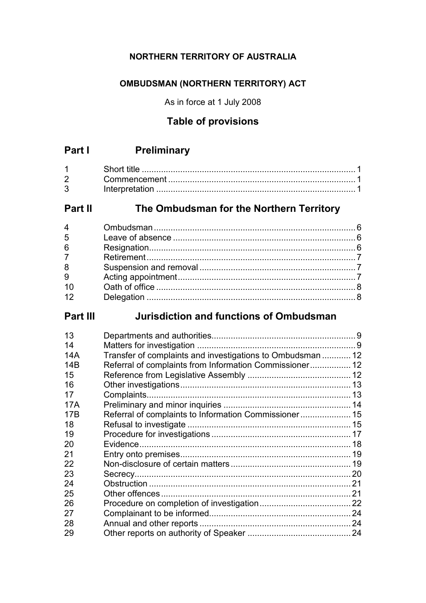### **NORTHERN TERRITORY OF AUSTRALIA**

### **OMBUDSMAN (NORTHERN TERRITORY) ACT**

As in force at 1 July 2008

# **Table of provisions**

# **Part I Preliminary**

| 2 <sup>1</sup> |  |
|----------------|--|
| 3 <sup>1</sup> |  |

# **Part II The Ombudsman for the Northern Territory**

| 4              |  |
|----------------|--|
| 5              |  |
| 6              |  |
| $\overline{7}$ |  |
| 8              |  |
| $\overline{9}$ |  |
| 10             |  |
| 12             |  |
|                |  |

# **Part III Jurisdiction and functions of Ombudsman**

| 13  |                                                            |  |
|-----|------------------------------------------------------------|--|
| 14  |                                                            |  |
| 14A | Transfer of complaints and investigations to Ombudsman  12 |  |
| 14B | Referral of complaints from Information Commissioner 12    |  |
| 15  |                                                            |  |
| 16  |                                                            |  |
| 17  |                                                            |  |
| 17A |                                                            |  |
| 17B | Referral of complaints to Information Commissioner  15     |  |
| 18  |                                                            |  |
| 19  |                                                            |  |
| 20  |                                                            |  |
| 21  |                                                            |  |
| 22  |                                                            |  |
| 23  |                                                            |  |
| 24  |                                                            |  |
| 25  |                                                            |  |
| 26  |                                                            |  |
| 27  |                                                            |  |
| 28  |                                                            |  |
| 29  |                                                            |  |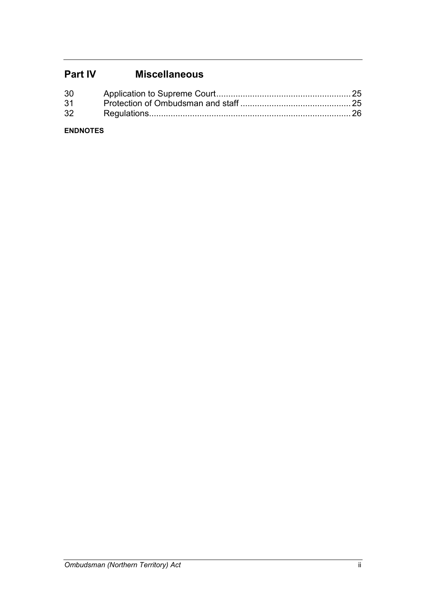# **Part IV Miscellaneous**

| 30 |  |
|----|--|
| 31 |  |
| 32 |  |

### **ENDNOTES**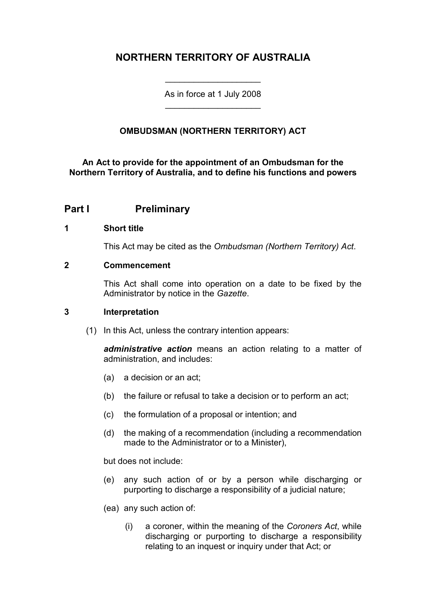# **NORTHERN TERRITORY OF AUSTRALIA**

As in force at 1 July 2008 \_\_\_\_\_\_\_\_\_\_\_\_\_\_\_\_\_\_\_\_

\_\_\_\_\_\_\_\_\_\_\_\_\_\_\_\_\_\_\_\_

### **OMBUDSMAN (NORTHERN TERRITORY) ACT**

**An Act to provide for the appointment of an Ombudsman for the Northern Territory of Australia, and to define his functions and powers**

### **Part I Preliminary**

#### **1 Short title**

This Act may be cited as the *Ombudsman (Northern Territory) Act*.

#### **2 Commencement**

This Act shall come into operation on a date to be fixed by the Administrator by notice in the *Gazette*.

#### **3 Interpretation**

(1) In this Act, unless the contrary intention appears:

*administrative action* means an action relating to a matter of administration, and includes:

- (a) a decision or an act;
- (b) the failure or refusal to take a decision or to perform an act;
- (c) the formulation of a proposal or intention; and
- (d) the making of a recommendation (including a recommendation made to the Administrator or to a Minister),

but does not include:

- (e) any such action of or by a person while discharging or purporting to discharge a responsibility of a judicial nature;
- (ea) any such action of:
	- (i) a coroner, within the meaning of the *Coroners Act*, while discharging or purporting to discharge a responsibility relating to an inquest or inquiry under that Act; or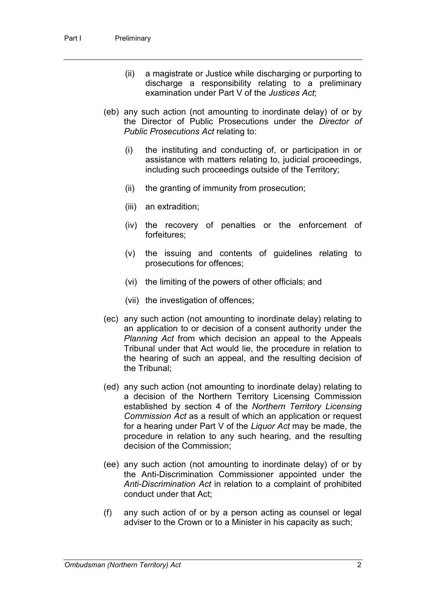- (ii) a magistrate or Justice while discharging or purporting to discharge a responsibility relating to a preliminary examination under Part V of the *Justices Act*;
- (eb) any such action (not amounting to inordinate delay) of or by the Director of Public Prosecutions under the *Director of Public Prosecutions Act* relating to:
	- (i) the instituting and conducting of, or participation in or assistance with matters relating to, judicial proceedings, including such proceedings outside of the Territory;
	- (ii) the granting of immunity from prosecution;
	- (iii) an extradition;
	- (iv) the recovery of penalties or the enforcement of forfeitures;
	- (v) the issuing and contents of guidelines relating to prosecutions for offences;
	- (vi) the limiting of the powers of other officials; and
	- (vii) the investigation of offences;
- (ec) any such action (not amounting to inordinate delay) relating to an application to or decision of a consent authority under the *Planning Act* from which decision an appeal to the Appeals Tribunal under that Act would lie, the procedure in relation to the hearing of such an appeal, and the resulting decision of the Tribunal;
- (ed) any such action (not amounting to inordinate delay) relating to a decision of the Northern Territory Licensing Commission established by section 4 of the *Northern Territory Licensing Commission Act* as a result of which an application or request for a hearing under Part V of the *Liquor Act* may be made, the procedure in relation to any such hearing, and the resulting decision of the Commission;
- (ee) any such action (not amounting to inordinate delay) of or by the Anti-Discrimination Commissioner appointed under the *Anti-Discrimination Act* in relation to a complaint of prohibited conduct under that Act;
- (f) any such action of or by a person acting as counsel or legal adviser to the Crown or to a Minister in his capacity as such;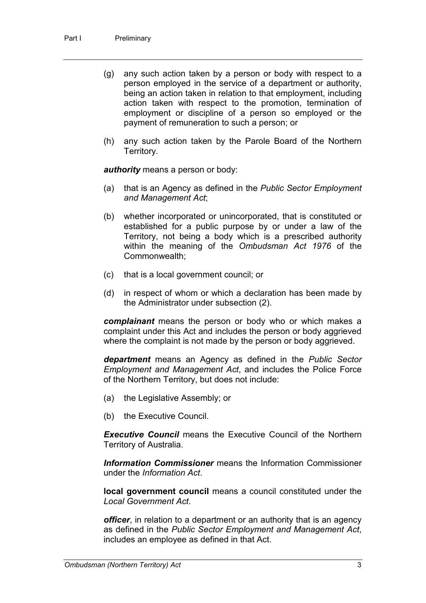- (g) any such action taken by a person or body with respect to a person employed in the service of a department or authority, being an action taken in relation to that employment, including action taken with respect to the promotion, termination of employment or discipline of a person so employed or the payment of remuneration to such a person; or
- (h) any such action taken by the Parole Board of the Northern Territory.

*authority* means a person or body:

- (a) that is an Agency as defined in the *Public Sector Employment and Management Act*;
- (b) whether incorporated or unincorporated, that is constituted or established for a public purpose by or under a law of the Territory, not being a body which is a prescribed authority within the meaning of the *Ombudsman Act 1976* of the Commonwealth;
- (c) that is a local government council; or
- (d) in respect of whom or which a declaration has been made by the Administrator under subsection (2).

*complainant* means the person or body who or which makes a complaint under this Act and includes the person or body aggrieved where the complaint is not made by the person or body aggrieved.

*department* means an Agency as defined in the *Public Sector Employment and Management Act*, and includes the Police Force of the Northern Territory, but does not include:

- (a) the Legislative Assembly; or
- (b) the Executive Council.

*Executive Council* means the Executive Council of the Northern Territory of Australia.

*Information Commissioner* means the Information Commissioner under the *Information Act*.

**local government council** means a council constituted under the *Local Government Act*.

*officer*, in relation to a department or an authority that is an agency as defined in the *Public Sector Employment and Management Act*, includes an employee as defined in that Act.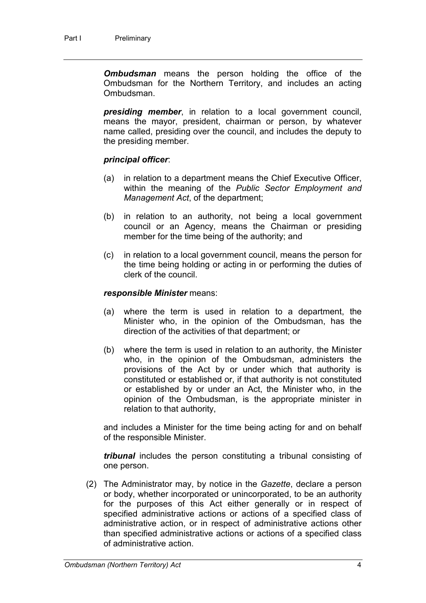*Ombudsman* means the person holding the office of the Ombudsman for the Northern Territory, and includes an acting Ombudsman.

*presiding member*, in relation to a local government council, means the mayor, president, chairman or person, by whatever name called, presiding over the council, and includes the deputy to the presiding member.

#### *principal officer*:

- (a) in relation to a department means the Chief Executive Officer, within the meaning of the *Public Sector Employment and Management Act*, of the department;
- (b) in relation to an authority, not being a local government council or an Agency, means the Chairman or presiding member for the time being of the authority; and
- (c) in relation to a local government council, means the person for the time being holding or acting in or performing the duties of clerk of the council.

#### *responsible Minister* means:

- (a) where the term is used in relation to a department, the Minister who, in the opinion of the Ombudsman, has the direction of the activities of that department; or
- (b) where the term is used in relation to an authority, the Minister who, in the opinion of the Ombudsman, administers the provisions of the Act by or under which that authority is constituted or established or, if that authority is not constituted or established by or under an Act, the Minister who, in the opinion of the Ombudsman, is the appropriate minister in relation to that authority,

and includes a Minister for the time being acting for and on behalf of the responsible Minister.

*tribunal* includes the person constituting a tribunal consisting of one person.

(2) The Administrator may, by notice in the *Gazette*, declare a person or body, whether incorporated or unincorporated, to be an authority for the purposes of this Act either generally or in respect of specified administrative actions or actions of a specified class of administrative action, or in respect of administrative actions other than specified administrative actions or actions of a specified class of administrative action.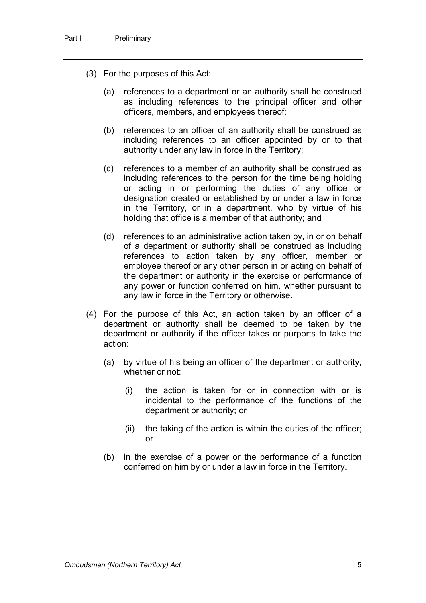- (3) For the purposes of this Act:
	- (a) references to a department or an authority shall be construed as including references to the principal officer and other officers, members, and employees thereof;
	- (b) references to an officer of an authority shall be construed as including references to an officer appointed by or to that authority under any law in force in the Territory;
	- (c) references to a member of an authority shall be construed as including references to the person for the time being holding or acting in or performing the duties of any office or designation created or established by or under a law in force in the Territory, or in a department, who by virtue of his holding that office is a member of that authority; and
	- (d) references to an administrative action taken by, in or on behalf of a department or authority shall be construed as including references to action taken by any officer, member or employee thereof or any other person in or acting on behalf of the department or authority in the exercise or performance of any power or function conferred on him, whether pursuant to any law in force in the Territory or otherwise.
- (4) For the purpose of this Act, an action taken by an officer of a department or authority shall be deemed to be taken by the department or authority if the officer takes or purports to take the action:
	- (a) by virtue of his being an officer of the department or authority, whether or not:
		- (i) the action is taken for or in connection with or is incidental to the performance of the functions of the department or authority; or
		- (ii) the taking of the action is within the duties of the officer; or
	- (b) in the exercise of a power or the performance of a function conferred on him by or under a law in force in the Territory.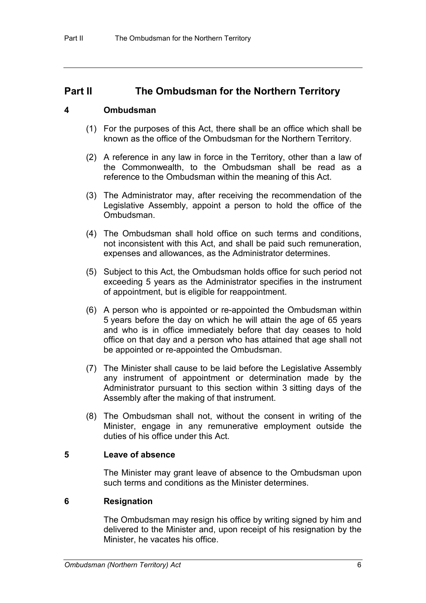### **Part II The Ombudsman for the Northern Territory**

#### **4 Ombudsman**

- (1) For the purposes of this Act, there shall be an office which shall be known as the office of the Ombudsman for the Northern Territory.
- (2) A reference in any law in force in the Territory, other than a law of the Commonwealth, to the Ombudsman shall be read as a reference to the Ombudsman within the meaning of this Act.
- (3) The Administrator may, after receiving the recommendation of the Legislative Assembly, appoint a person to hold the office of the Ombudsman.
- (4) The Ombudsman shall hold office on such terms and conditions, not inconsistent with this Act, and shall be paid such remuneration, expenses and allowances, as the Administrator determines.
- (5) Subject to this Act, the Ombudsman holds office for such period not exceeding 5 years as the Administrator specifies in the instrument of appointment, but is eligible for reappointment.
- (6) A person who is appointed or re-appointed the Ombudsman within 5 years before the day on which he will attain the age of 65 years and who is in office immediately before that day ceases to hold office on that day and a person who has attained that age shall not be appointed or re-appointed the Ombudsman.
- (7) The Minister shall cause to be laid before the Legislative Assembly any instrument of appointment or determination made by the Administrator pursuant to this section within 3 sitting days of the Assembly after the making of that instrument.
- (8) The Ombudsman shall not, without the consent in writing of the Minister, engage in any remunerative employment outside the duties of his office under this Act.

#### **5 Leave of absence**

The Minister may grant leave of absence to the Ombudsman upon such terms and conditions as the Minister determines.

#### **6 Resignation**

The Ombudsman may resign his office by writing signed by him and delivered to the Minister and, upon receipt of his resignation by the Minister, he vacates his office.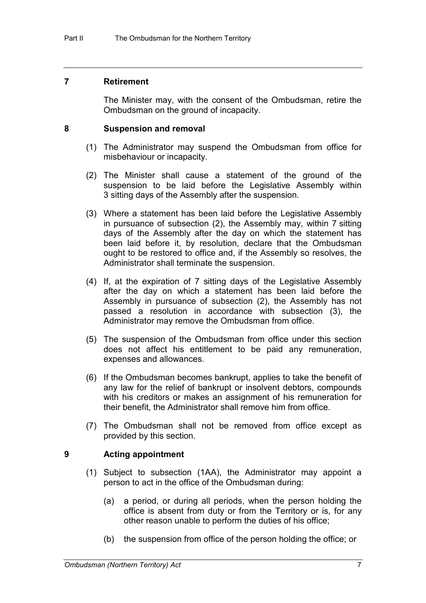#### **7 Retirement**

The Minister may, with the consent of the Ombudsman, retire the Ombudsman on the ground of incapacity.

#### **8 Suspension and removal**

- (1) The Administrator may suspend the Ombudsman from office for misbehaviour or incapacity.
- (2) The Minister shall cause a statement of the ground of the suspension to be laid before the Legislative Assembly within 3 sitting days of the Assembly after the suspension.
- (3) Where a statement has been laid before the Legislative Assembly in pursuance of subsection (2), the Assembly may, within 7 sitting days of the Assembly after the day on which the statement has been laid before it, by resolution, declare that the Ombudsman ought to be restored to office and, if the Assembly so resolves, the Administrator shall terminate the suspension.
- (4) If, at the expiration of 7 sitting days of the Legislative Assembly after the day on which a statement has been laid before the Assembly in pursuance of subsection (2), the Assembly has not passed a resolution in accordance with subsection (3), the Administrator may remove the Ombudsman from office.
- (5) The suspension of the Ombudsman from office under this section does not affect his entitlement to be paid any remuneration, expenses and allowances.
- (6) If the Ombudsman becomes bankrupt, applies to take the benefit of any law for the relief of bankrupt or insolvent debtors, compounds with his creditors or makes an assignment of his remuneration for their benefit, the Administrator shall remove him from office.
- (7) The Ombudsman shall not be removed from office except as provided by this section.

#### **9 Acting appointment**

- (1) Subject to subsection (1AA), the Administrator may appoint a person to act in the office of the Ombudsman during:
	- (a) a period, or during all periods, when the person holding the office is absent from duty or from the Territory or is, for any other reason unable to perform the duties of his office;
	- (b) the suspension from office of the person holding the office; or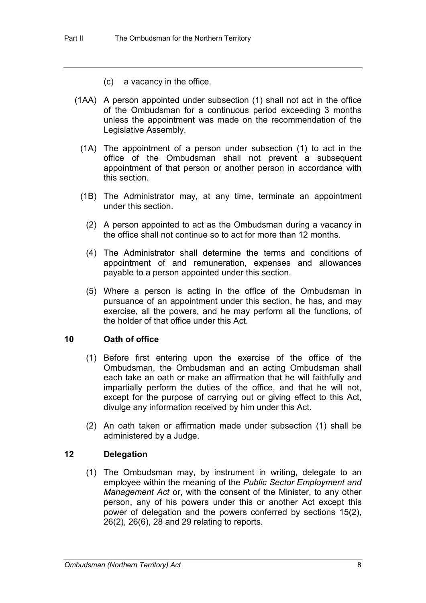- (c) a vacancy in the office.
- (1AA) A person appointed under subsection (1) shall not act in the office of the Ombudsman for a continuous period exceeding 3 months unless the appointment was made on the recommendation of the Legislative Assembly.
	- (1A) The appointment of a person under subsection (1) to act in the office of the Ombudsman shall not prevent a subsequent appointment of that person or another person in accordance with this section.
	- (1B) The Administrator may, at any time, terminate an appointment under this section.
		- (2) A person appointed to act as the Ombudsman during a vacancy in the office shall not continue so to act for more than 12 months.
		- (4) The Administrator shall determine the terms and conditions of appointment of and remuneration, expenses and allowances payable to a person appointed under this section.
		- (5) Where a person is acting in the office of the Ombudsman in pursuance of an appointment under this section, he has, and may exercise, all the powers, and he may perform all the functions, of the holder of that office under this Act.

### **10 Oath of office**

- (1) Before first entering upon the exercise of the office of the Ombudsman, the Ombudsman and an acting Ombudsman shall each take an oath or make an affirmation that he will faithfully and impartially perform the duties of the office, and that he will not, except for the purpose of carrying out or giving effect to this Act, divulge any information received by him under this Act.
- (2) An oath taken or affirmation made under subsection (1) shall be administered by a Judge.

### **12 Delegation**

(1) The Ombudsman may, by instrument in writing, delegate to an employee within the meaning of the *Public Sector Employment and Management Act* or, with the consent of the Minister, to any other person, any of his powers under this or another Act except this power of delegation and the powers conferred by sections 15(2), 26(2), 26(6), 28 and 29 relating to reports.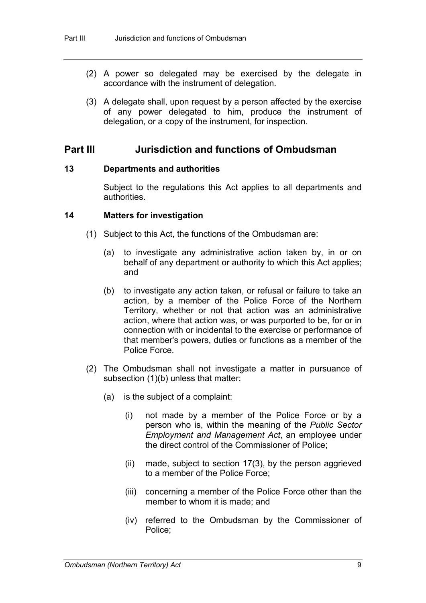- (2) A power so delegated may be exercised by the delegate in accordance with the instrument of delegation.
- (3) A delegate shall, upon request by a person affected by the exercise of any power delegated to him, produce the instrument of delegation, or a copy of the instrument, for inspection.

### **Part III Jurisdiction and functions of Ombudsman**

#### **13 Departments and authorities**

Subject to the regulations this Act applies to all departments and authorities.

#### **14 Matters for investigation**

- (1) Subject to this Act, the functions of the Ombudsman are:
	- (a) to investigate any administrative action taken by, in or on behalf of any department or authority to which this Act applies; and
	- (b) to investigate any action taken, or refusal or failure to take an action, by a member of the Police Force of the Northern Territory, whether or not that action was an administrative action, where that action was, or was purported to be, for or in connection with or incidental to the exercise or performance of that member's powers, duties or functions as a member of the Police Force.
- (2) The Ombudsman shall not investigate a matter in pursuance of subsection (1)(b) unless that matter:
	- (a) is the subject of a complaint:
		- (i) not made by a member of the Police Force or by a person who is, within the meaning of the *Public Sector Employment and Management Act*, an employee under the direct control of the Commissioner of Police;
		- (ii) made, subject to section 17(3), by the person aggrieved to a member of the Police Force;
		- (iii) concerning a member of the Police Force other than the member to whom it is made; and
		- (iv) referred to the Ombudsman by the Commissioner of Police;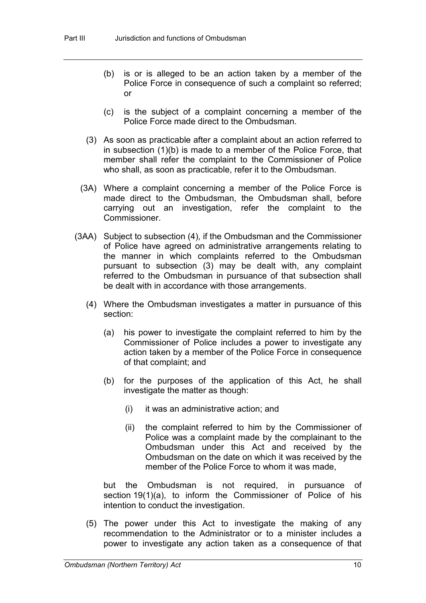- (b) is or is alleged to be an action taken by a member of the Police Force in consequence of such a complaint so referred; or
- (c) is the subject of a complaint concerning a member of the Police Force made direct to the Ombudsman.
- (3) As soon as practicable after a complaint about an action referred to in subsection (1)(b) is made to a member of the Police Force, that member shall refer the complaint to the Commissioner of Police who shall, as soon as practicable, refer it to the Ombudsman.
- (3A) Where a complaint concerning a member of the Police Force is made direct to the Ombudsman, the Ombudsman shall, before carrying out an investigation, refer the complaint to the Commissioner.
- (3AA) Subject to subsection (4), if the Ombudsman and the Commissioner of Police have agreed on administrative arrangements relating to the manner in which complaints referred to the Ombudsman pursuant to subsection (3) may be dealt with, any complaint referred to the Ombudsman in pursuance of that subsection shall be dealt with in accordance with those arrangements.
	- (4) Where the Ombudsman investigates a matter in pursuance of this section:
		- (a) his power to investigate the complaint referred to him by the Commissioner of Police includes a power to investigate any action taken by a member of the Police Force in consequence of that complaint; and
		- (b) for the purposes of the application of this Act, he shall investigate the matter as though:
			- (i) it was an administrative action; and
			- (ii) the complaint referred to him by the Commissioner of Police was a complaint made by the complainant to the Ombudsman under this Act and received by the Ombudsman on the date on which it was received by the member of the Police Force to whom it was made,

but the Ombudsman is not required, in pursuance of section 19(1)(a), to inform the Commissioner of Police of his intention to conduct the investigation.

(5) The power under this Act to investigate the making of any recommendation to the Administrator or to a minister includes a power to investigate any action taken as a consequence of that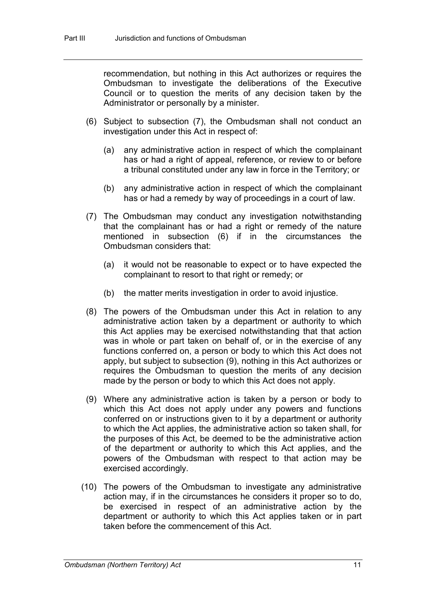recommendation, but nothing in this Act authorizes or requires the Ombudsman to investigate the deliberations of the Executive Council or to question the merits of any decision taken by the Administrator or personally by a minister.

- (6) Subject to subsection (7), the Ombudsman shall not conduct an investigation under this Act in respect of:
	- (a) any administrative action in respect of which the complainant has or had a right of appeal, reference, or review to or before a tribunal constituted under any law in force in the Territory; or
	- (b) any administrative action in respect of which the complainant has or had a remedy by way of proceedings in a court of law.
- (7) The Ombudsman may conduct any investigation notwithstanding that the complainant has or had a right or remedy of the nature mentioned in subsection (6) if in the circumstances the Ombudsman considers that:
	- (a) it would not be reasonable to expect or to have expected the complainant to resort to that right or remedy; or
	- (b) the matter merits investigation in order to avoid injustice.
- (8) The powers of the Ombudsman under this Act in relation to any administrative action taken by a department or authority to which this Act applies may be exercised notwithstanding that that action was in whole or part taken on behalf of, or in the exercise of any functions conferred on, a person or body to which this Act does not apply, but subject to subsection (9), nothing in this Act authorizes or requires the Ombudsman to question the merits of any decision made by the person or body to which this Act does not apply.
- (9) Where any administrative action is taken by a person or body to which this Act does not apply under any powers and functions conferred on or instructions given to it by a department or authority to which the Act applies, the administrative action so taken shall, for the purposes of this Act, be deemed to be the administrative action of the department or authority to which this Act applies, and the powers of the Ombudsman with respect to that action may be exercised accordingly.
- (10) The powers of the Ombudsman to investigate any administrative action may, if in the circumstances he considers it proper so to do, be exercised in respect of an administrative action by the department or authority to which this Act applies taken or in part taken before the commencement of this Act.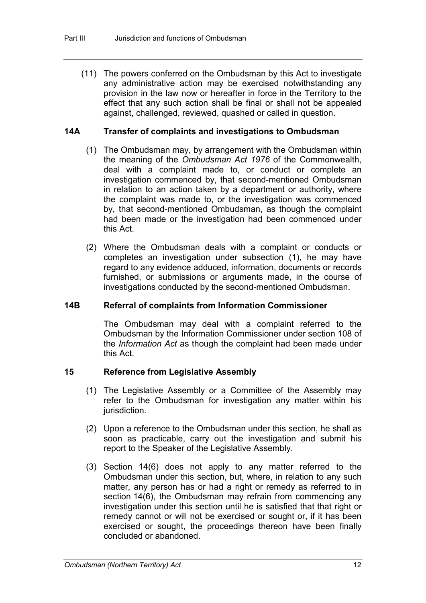(11) The powers conferred on the Ombudsman by this Act to investigate any administrative action may be exercised notwithstanding any provision in the law now or hereafter in force in the Territory to the effect that any such action shall be final or shall not be appealed against, challenged, reviewed, quashed or called in question.

#### **14A Transfer of complaints and investigations to Ombudsman**

- (1) The Ombudsman may, by arrangement with the Ombudsman within the meaning of the *Ombudsman Act 1976* of the Commonwealth, deal with a complaint made to, or conduct or complete an investigation commenced by, that second-mentioned Ombudsman in relation to an action taken by a department or authority, where the complaint was made to, or the investigation was commenced by, that second-mentioned Ombudsman, as though the complaint had been made or the investigation had been commenced under this Act.
- (2) Where the Ombudsman deals with a complaint or conducts or completes an investigation under subsection (1), he may have regard to any evidence adduced, information, documents or records furnished, or submissions or arguments made, in the course of investigations conducted by the second-mentioned Ombudsman.

#### **14B Referral of complaints from Information Commissioner**

The Ombudsman may deal with a complaint referred to the Ombudsman by the Information Commissioner under section 108 of the *Information Act* as though the complaint had been made under this Act.

#### **15 Reference from Legislative Assembly**

- (1) The Legislative Assembly or a Committee of the Assembly may refer to the Ombudsman for investigation any matter within his jurisdiction.
- (2) Upon a reference to the Ombudsman under this section, he shall as soon as practicable, carry out the investigation and submit his report to the Speaker of the Legislative Assembly.
- (3) Section 14(6) does not apply to any matter referred to the Ombudsman under this section, but, where, in relation to any such matter, any person has or had a right or remedy as referred to in section 14(6), the Ombudsman may refrain from commencing any investigation under this section until he is satisfied that that right or remedy cannot or will not be exercised or sought or, if it has been exercised or sought, the proceedings thereon have been finally concluded or abandoned.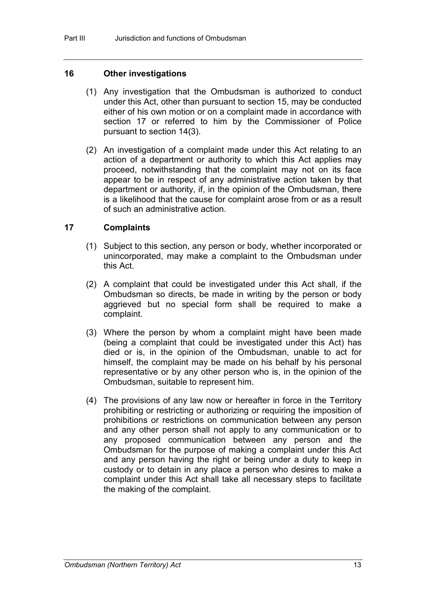#### **16 Other investigations**

- (1) Any investigation that the Ombudsman is authorized to conduct under this Act, other than pursuant to section 15, may be conducted either of his own motion or on a complaint made in accordance with section 17 or referred to him by the Commissioner of Police pursuant to section 14(3).
- (2) An investigation of a complaint made under this Act relating to an action of a department or authority to which this Act applies may proceed, notwithstanding that the complaint may not on its face appear to be in respect of any administrative action taken by that department or authority, if, in the opinion of the Ombudsman, there is a likelihood that the cause for complaint arose from or as a result of such an administrative action.

#### **17 Complaints**

- (1) Subject to this section, any person or body, whether incorporated or unincorporated, may make a complaint to the Ombudsman under this Act.
- (2) A complaint that could be investigated under this Act shall, if the Ombudsman so directs, be made in writing by the person or body aggrieved but no special form shall be required to make a complaint.
- (3) Where the person by whom a complaint might have been made (being a complaint that could be investigated under this Act) has died or is, in the opinion of the Ombudsman, unable to act for himself, the complaint may be made on his behalf by his personal representative or by any other person who is, in the opinion of the Ombudsman, suitable to represent him.
- (4) The provisions of any law now or hereafter in force in the Territory prohibiting or restricting or authorizing or requiring the imposition of prohibitions or restrictions on communication between any person and any other person shall not apply to any communication or to any proposed communication between any person and the Ombudsman for the purpose of making a complaint under this Act and any person having the right or being under a duty to keep in custody or to detain in any place a person who desires to make a complaint under this Act shall take all necessary steps to facilitate the making of the complaint.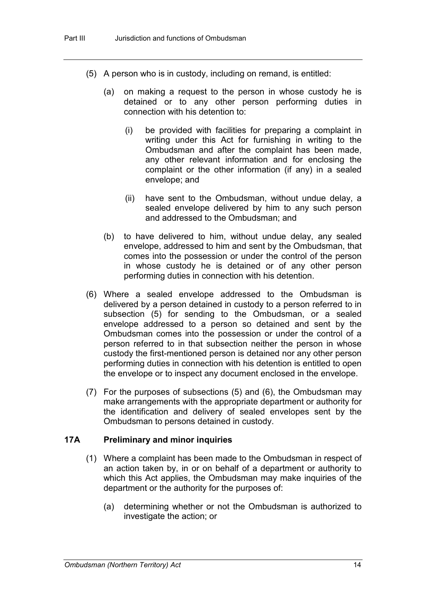- (5) A person who is in custody, including on remand, is entitled:
	- (a) on making a request to the person in whose custody he is detained or to any other person performing duties in connection with his detention to:
		- (i) be provided with facilities for preparing a complaint in writing under this Act for furnishing in writing to the Ombudsman and after the complaint has been made, any other relevant information and for enclosing the complaint or the other information (if any) in a sealed envelope; and
		- (ii) have sent to the Ombudsman, without undue delay, a sealed envelope delivered by him to any such person and addressed to the Ombudsman; and
	- (b) to have delivered to him, without undue delay, any sealed envelope, addressed to him and sent by the Ombudsman, that comes into the possession or under the control of the person in whose custody he is detained or of any other person performing duties in connection with his detention.
- (6) Where a sealed envelope addressed to the Ombudsman is delivered by a person detained in custody to a person referred to in subsection (5) for sending to the Ombudsman, or a sealed envelope addressed to a person so detained and sent by the Ombudsman comes into the possession or under the control of a person referred to in that subsection neither the person in whose custody the first-mentioned person is detained nor any other person performing duties in connection with his detention is entitled to open the envelope or to inspect any document enclosed in the envelope.
- (7) For the purposes of subsections (5) and (6), the Ombudsman may make arrangements with the appropriate department or authority for the identification and delivery of sealed envelopes sent by the Ombudsman to persons detained in custody.

#### **17A Preliminary and minor inquiries**

- (1) Where a complaint has been made to the Ombudsman in respect of an action taken by, in or on behalf of a department or authority to which this Act applies, the Ombudsman may make inquiries of the department or the authority for the purposes of:
	- (a) determining whether or not the Ombudsman is authorized to investigate the action; or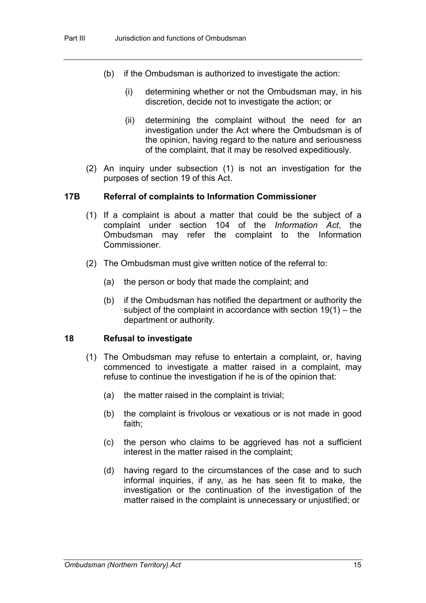- (b) if the Ombudsman is authorized to investigate the action:
	- (i) determining whether or not the Ombudsman may, in his discretion, decide not to investigate the action; or
	- (ii) determining the complaint without the need for an investigation under the Act where the Ombudsman is of the opinion, having regard to the nature and seriousness of the complaint, that it may be resolved expeditiously.
- (2) An inquiry under subsection (1) is not an investigation for the purposes of section 19 of this Act.

#### **17B Referral of complaints to Information Commissioner**

- (1) If a complaint is about a matter that could be the subject of a complaint under section 104 of the *Information Act*, the Ombudsman may refer the complaint to the Information Commissioner.
- (2) The Ombudsman must give written notice of the referral to:
	- (a) the person or body that made the complaint; and
	- (b) if the Ombudsman has notified the department or authority the subject of the complaint in accordance with section 19(1) – the department or authority.

#### **18 Refusal to investigate**

- (1) The Ombudsman may refuse to entertain a complaint, or, having commenced to investigate a matter raised in a complaint, may refuse to continue the investigation if he is of the opinion that:
	- (a) the matter raised in the complaint is trivial;
	- (b) the complaint is frivolous or vexatious or is not made in good faith;
	- (c) the person who claims to be aggrieved has not a sufficient interest in the matter raised in the complaint;
	- (d) having regard to the circumstances of the case and to such informal inquiries, if any, as he has seen fit to make, the investigation or the continuation of the investigation of the matter raised in the complaint is unnecessary or unjustified; or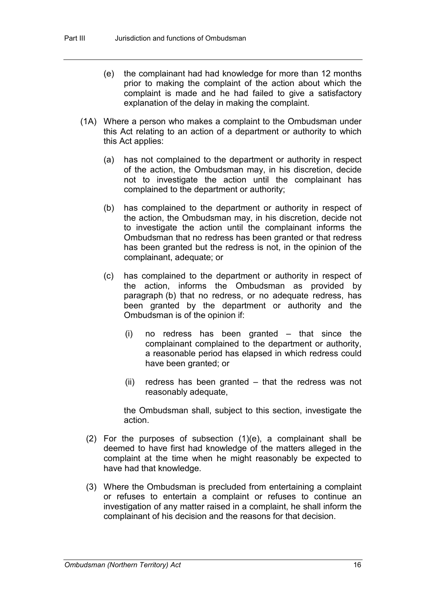- (e) the complainant had had knowledge for more than 12 months prior to making the complaint of the action about which the complaint is made and he had failed to give a satisfactory explanation of the delay in making the complaint.
- (1A) Where a person who makes a complaint to the Ombudsman under this Act relating to an action of a department or authority to which this Act applies:
	- (a) has not complained to the department or authority in respect of the action, the Ombudsman may, in his discretion, decide not to investigate the action until the complainant has complained to the department or authority;
	- (b) has complained to the department or authority in respect of the action, the Ombudsman may, in his discretion, decide not to investigate the action until the complainant informs the Ombudsman that no redress has been granted or that redress has been granted but the redress is not, in the opinion of the complainant, adequate; or
	- (c) has complained to the department or authority in respect of the action, informs the Ombudsman as provided by paragraph (b) that no redress, or no adequate redress, has been granted by the department or authority and the Ombudsman is of the opinion if:
		- (i) no redress has been granted that since the complainant complained to the department or authority, a reasonable period has elapsed in which redress could have been granted; or
		- (ii) redress has been granted that the redress was not reasonably adequate,

the Ombudsman shall, subject to this section, investigate the action.

- (2) For the purposes of subsection (1)(e), a complainant shall be deemed to have first had knowledge of the matters alleged in the complaint at the time when he might reasonably be expected to have had that knowledge.
- (3) Where the Ombudsman is precluded from entertaining a complaint or refuses to entertain a complaint or refuses to continue an investigation of any matter raised in a complaint, he shall inform the complainant of his decision and the reasons for that decision.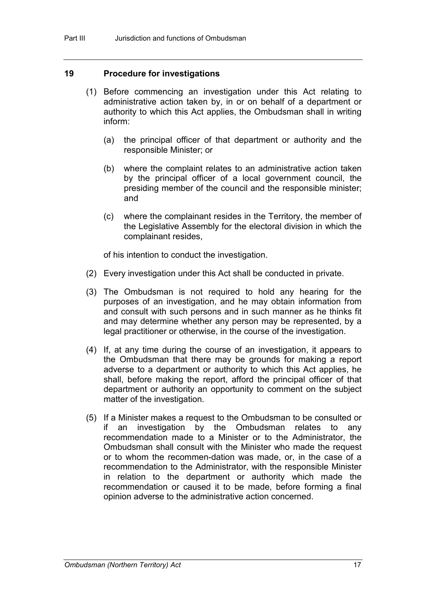#### **19 Procedure for investigations**

- (1) Before commencing an investigation under this Act relating to administrative action taken by, in or on behalf of a department or authority to which this Act applies, the Ombudsman shall in writing inform:
	- (a) the principal officer of that department or authority and the responsible Minister; or
	- (b) where the complaint relates to an administrative action taken by the principal officer of a local government council, the presiding member of the council and the responsible minister; and
	- (c) where the complainant resides in the Territory, the member of the Legislative Assembly for the electoral division in which the complainant resides,

of his intention to conduct the investigation.

- (2) Every investigation under this Act shall be conducted in private.
- (3) The Ombudsman is not required to hold any hearing for the purposes of an investigation, and he may obtain information from and consult with such persons and in such manner as he thinks fit and may determine whether any person may be represented, by a legal practitioner or otherwise, in the course of the investigation.
- (4) If, at any time during the course of an investigation, it appears to the Ombudsman that there may be grounds for making a report adverse to a department or authority to which this Act applies, he shall, before making the report, afford the principal officer of that department or authority an opportunity to comment on the subject matter of the investigation.
- (5) If a Minister makes a request to the Ombudsman to be consulted or if an investigation by the Ombudsman relates to any recommendation made to a Minister or to the Administrator, the Ombudsman shall consult with the Minister who made the request or to whom the recommen-dation was made, or, in the case of a recommendation to the Administrator, with the responsible Minister in relation to the department or authority which made the recommendation or caused it to be made, before forming a final opinion adverse to the administrative action concerned.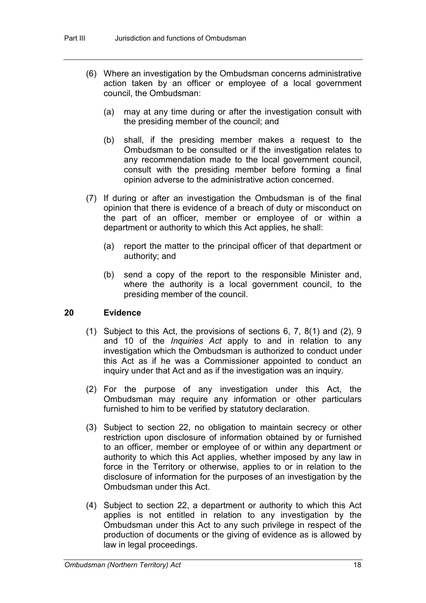- (6) Where an investigation by the Ombudsman concerns administrative action taken by an officer or employee of a local government council, the Ombudsman:
	- (a) may at any time during or after the investigation consult with the presiding member of the council; and
	- (b) shall, if the presiding member makes a request to the Ombudsman to be consulted or if the investigation relates to any recommendation made to the local government council, consult with the presiding member before forming a final opinion adverse to the administrative action concerned.
- (7) If during or after an investigation the Ombudsman is of the final opinion that there is evidence of a breach of duty or misconduct on the part of an officer, member or employee of or within a department or authority to which this Act applies, he shall:
	- (a) report the matter to the principal officer of that department or authority; and
	- (b) send a copy of the report to the responsible Minister and, where the authority is a local government council, to the presiding member of the council.

#### **20 Evidence**

- (1) Subject to this Act, the provisions of sections 6, 7, 8(1) and (2), 9 and 10 of the *Inquiries Act* apply to and in relation to any investigation which the Ombudsman is authorized to conduct under this Act as if he was a Commissioner appointed to conduct an inquiry under that Act and as if the investigation was an inquiry.
- (2) For the purpose of any investigation under this Act, the Ombudsman may require any information or other particulars furnished to him to be verified by statutory declaration.
- (3) Subject to section 22, no obligation to maintain secrecy or other restriction upon disclosure of information obtained by or furnished to an officer, member or employee of or within any department or authority to which this Act applies, whether imposed by any law in force in the Territory or otherwise, applies to or in relation to the disclosure of information for the purposes of an investigation by the Ombudsman under this Act.
- (4) Subject to section 22, a department or authority to which this Act applies is not entitled in relation to any investigation by the Ombudsman under this Act to any such privilege in respect of the production of documents or the giving of evidence as is allowed by law in legal proceedings.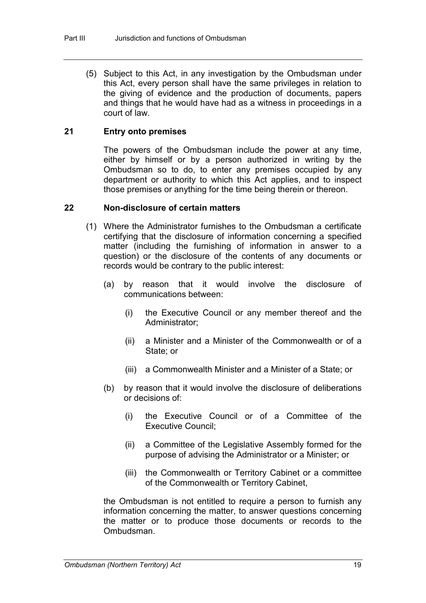(5) Subject to this Act, in any investigation by the Ombudsman under this Act, every person shall have the same privileges in relation to the giving of evidence and the production of documents, papers and things that he would have had as a witness in proceedings in a court of law.

#### **21 Entry onto premises**

The powers of the Ombudsman include the power at any time, either by himself or by a person authorized in writing by the Ombudsman so to do, to enter any premises occupied by any department or authority to which this Act applies, and to inspect those premises or anything for the time being therein or thereon.

#### **22 Non-disclosure of certain matters**

- (1) Where the Administrator furnishes to the Ombudsman a certificate certifying that the disclosure of information concerning a specified matter (including the furnishing of information in answer to a question) or the disclosure of the contents of any documents or records would be contrary to the public interest:
	- (a) by reason that it would involve the disclosure of communications between:
		- (i) the Executive Council or any member thereof and the Administrator;
		- (ii) a Minister and a Minister of the Commonwealth or of a State; or
		- (iii) a Commonwealth Minister and a Minister of a State; or
	- (b) by reason that it would involve the disclosure of deliberations or decisions of:
		- (i) the Executive Council or of a Committee of the Executive Council;
		- (ii) a Committee of the Legislative Assembly formed for the purpose of advising the Administrator or a Minister; or
		- (iii) the Commonwealth or Territory Cabinet or a committee of the Commonwealth or Territory Cabinet,

the Ombudsman is not entitled to require a person to furnish any information concerning the matter, to answer questions concerning the matter or to produce those documents or records to the **Ombudsman**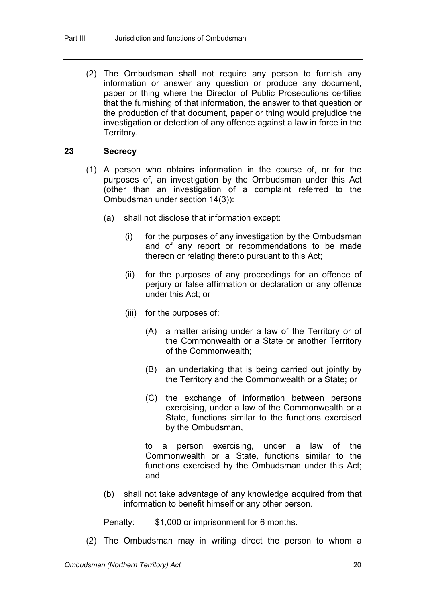(2) The Ombudsman shall not require any person to furnish any information or answer any question or produce any document, paper or thing where the Director of Public Prosecutions certifies that the furnishing of that information, the answer to that question or the production of that document, paper or thing would prejudice the investigation or detection of any offence against a law in force in the Territory.

#### **23 Secrecy**

- (1) A person who obtains information in the course of, or for the purposes of, an investigation by the Ombudsman under this Act (other than an investigation of a complaint referred to the Ombudsman under section 14(3)):
	- (a) shall not disclose that information except:
		- (i) for the purposes of any investigation by the Ombudsman and of any report or recommendations to be made thereon or relating thereto pursuant to this Act;
		- (ii) for the purposes of any proceedings for an offence of perjury or false affirmation or declaration or any offence under this Act; or
		- (iii) for the purposes of:
			- (A) a matter arising under a law of the Territory or of the Commonwealth or a State or another Territory of the Commonwealth;
			- (B) an undertaking that is being carried out jointly by the Territory and the Commonwealth or a State; or
			- (C) the exchange of information between persons exercising, under a law of the Commonwealth or a State, functions similar to the functions exercised by the Ombudsman,

to a person exercising, under a law of the Commonwealth or a State, functions similar to the functions exercised by the Ombudsman under this Act; and

(b) shall not take advantage of any knowledge acquired from that information to benefit himself or any other person.

Penalty: \$1,000 or imprisonment for 6 months.

(2) The Ombudsman may in writing direct the person to whom a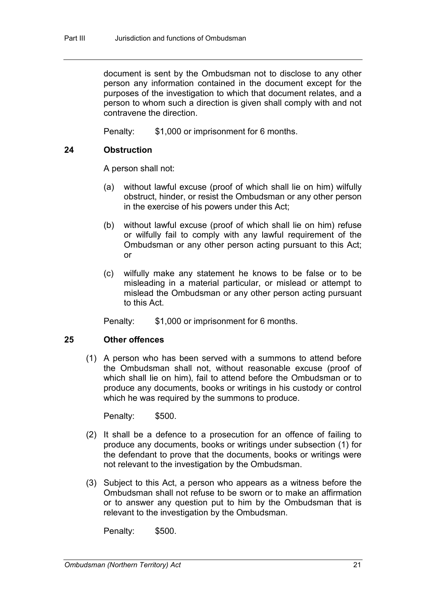document is sent by the Ombudsman not to disclose to any other person any information contained in the document except for the purposes of the investigation to which that document relates, and a person to whom such a direction is given shall comply with and not contravene the direction.

Penalty: \$1,000 or imprisonment for 6 months.

#### **24 Obstruction**

A person shall not:

- (a) without lawful excuse (proof of which shall lie on him) wilfully obstruct, hinder, or resist the Ombudsman or any other person in the exercise of his powers under this Act;
- (b) without lawful excuse (proof of which shall lie on him) refuse or wilfully fail to comply with any lawful requirement of the Ombudsman or any other person acting pursuant to this Act; or
- (c) wilfully make any statement he knows to be false or to be misleading in a material particular, or mislead or attempt to mislead the Ombudsman or any other person acting pursuant to this Act.

Penalty: \$1,000 or imprisonment for 6 months.

#### **25 Other offences**

(1) A person who has been served with a summons to attend before the Ombudsman shall not, without reasonable excuse (proof of which shall lie on him), fail to attend before the Ombudsman or to produce any documents, books or writings in his custody or control which he was required by the summons to produce.

Penalty: \$500.

- (2) It shall be a defence to a prosecution for an offence of failing to produce any documents, books or writings under subsection (1) for the defendant to prove that the documents, books or writings were not relevant to the investigation by the Ombudsman.
- (3) Subject to this Act, a person who appears as a witness before the Ombudsman shall not refuse to be sworn or to make an affirmation or to answer any question put to him by the Ombudsman that is relevant to the investigation by the Ombudsman.

Penalty: \$500.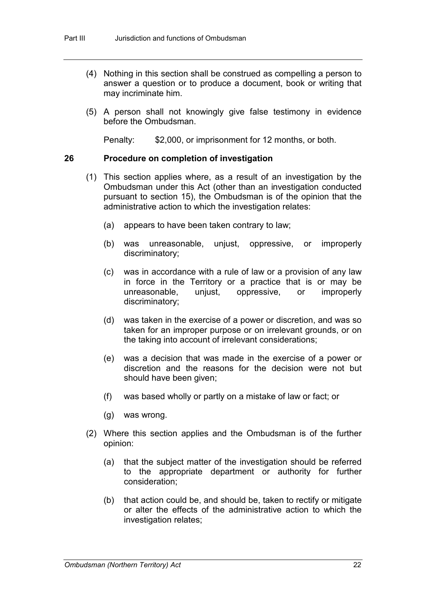- (4) Nothing in this section shall be construed as compelling a person to answer a question or to produce a document, book or writing that may incriminate him.
- (5) A person shall not knowingly give false testimony in evidence before the Ombudsman.

Penalty: \$2,000, or imprisonment for 12 months, or both.

#### **26 Procedure on completion of investigation**

- (1) This section applies where, as a result of an investigation by the Ombudsman under this Act (other than an investigation conducted pursuant to section 15), the Ombudsman is of the opinion that the administrative action to which the investigation relates:
	- (a) appears to have been taken contrary to law;
	- (b) was unreasonable, unjust, oppressive, or improperly discriminatory;
	- (c) was in accordance with a rule of law or a provision of any law in force in the Territory or a practice that is or may be unreasonable, unjust, oppressive, or improperly discriminatory;
	- (d) was taken in the exercise of a power or discretion, and was so taken for an improper purpose or on irrelevant grounds, or on the taking into account of irrelevant considerations;
	- (e) was a decision that was made in the exercise of a power or discretion and the reasons for the decision were not but should have been given;
	- (f) was based wholly or partly on a mistake of law or fact; or
	- (g) was wrong.
- (2) Where this section applies and the Ombudsman is of the further opinion:
	- (a) that the subject matter of the investigation should be referred to the appropriate department or authority for further consideration;
	- (b) that action could be, and should be, taken to rectify or mitigate or alter the effects of the administrative action to which the investigation relates;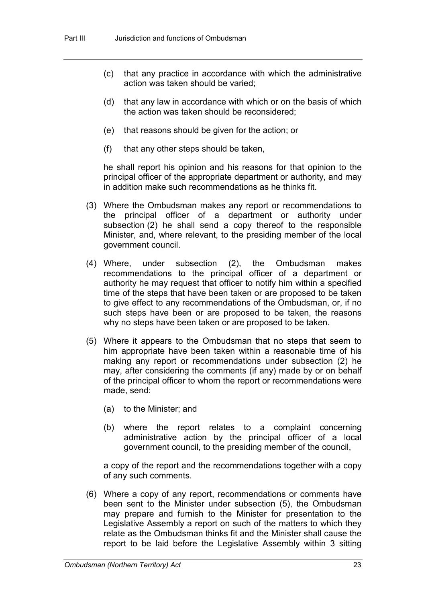- (c) that any practice in accordance with which the administrative action was taken should be varied;
- (d) that any law in accordance with which or on the basis of which the action was taken should be reconsidered;
- (e) that reasons should be given for the action; or
- (f) that any other steps should be taken,

he shall report his opinion and his reasons for that opinion to the principal officer of the appropriate department or authority, and may in addition make such recommendations as he thinks fit.

- (3) Where the Ombudsman makes any report or recommendations to the principal officer of a department or authority under subsection (2) he shall send a copy thereof to the responsible Minister, and, where relevant, to the presiding member of the local government council.
- (4) Where, under subsection (2), the Ombudsman makes recommendations to the principal officer of a department or authority he may request that officer to notify him within a specified time of the steps that have been taken or are proposed to be taken to give effect to any recommendations of the Ombudsman, or, if no such steps have been or are proposed to be taken, the reasons why no steps have been taken or are proposed to be taken.
- (5) Where it appears to the Ombudsman that no steps that seem to him appropriate have been taken within a reasonable time of his making any report or recommendations under subsection (2) he may, after considering the comments (if any) made by or on behalf of the principal officer to whom the report or recommendations were made, send:
	- (a) to the Minister; and
	- (b) where the report relates to a complaint concerning administrative action by the principal officer of a local government council, to the presiding member of the council,

a copy of the report and the recommendations together with a copy of any such comments.

(6) Where a copy of any report, recommendations or comments have been sent to the Minister under subsection (5), the Ombudsman may prepare and furnish to the Minister for presentation to the Legislative Assembly a report on such of the matters to which they relate as the Ombudsman thinks fit and the Minister shall cause the report to be laid before the Legislative Assembly within 3 sitting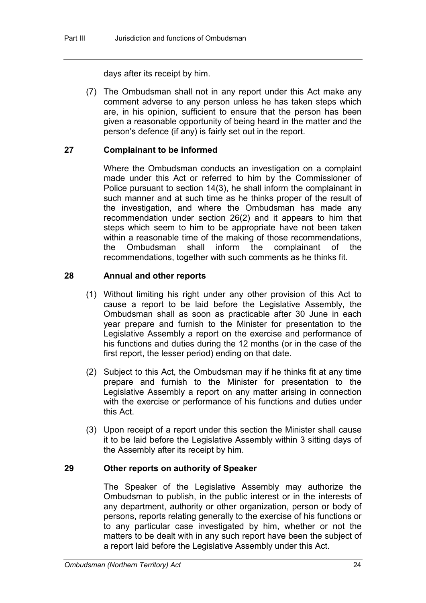days after its receipt by him.

(7) The Ombudsman shall not in any report under this Act make any comment adverse to any person unless he has taken steps which are, in his opinion, sufficient to ensure that the person has been given a reasonable opportunity of being heard in the matter and the person's defence (if any) is fairly set out in the report.

### **27 Complainant to be informed**

Where the Ombudsman conducts an investigation on a complaint made under this Act or referred to him by the Commissioner of Police pursuant to section 14(3), he shall inform the complainant in such manner and at such time as he thinks proper of the result of the investigation, and where the Ombudsman has made any recommendation under section 26(2) and it appears to him that steps which seem to him to be appropriate have not been taken within a reasonable time of the making of those recommendations,<br>the Ombudsman shall inform the complainant of the complainant of the recommendations, together with such comments as he thinks fit.

### **28 Annual and other reports**

- (1) Without limiting his right under any other provision of this Act to cause a report to be laid before the Legislative Assembly, the Ombudsman shall as soon as practicable after 30 June in each year prepare and furnish to the Minister for presentation to the Legislative Assembly a report on the exercise and performance of his functions and duties during the 12 months (or in the case of the first report, the lesser period) ending on that date.
- (2) Subject to this Act, the Ombudsman may if he thinks fit at any time prepare and furnish to the Minister for presentation to the Legislative Assembly a report on any matter arising in connection with the exercise or performance of his functions and duties under this Act.
- (3) Upon receipt of a report under this section the Minister shall cause it to be laid before the Legislative Assembly within 3 sitting days of the Assembly after its receipt by him.

### **29 Other reports on authority of Speaker**

The Speaker of the Legislative Assembly may authorize the Ombudsman to publish, in the public interest or in the interests of any department, authority or other organization, person or body of persons, reports relating generally to the exercise of his functions or to any particular case investigated by him, whether or not the matters to be dealt with in any such report have been the subject of a report laid before the Legislative Assembly under this Act.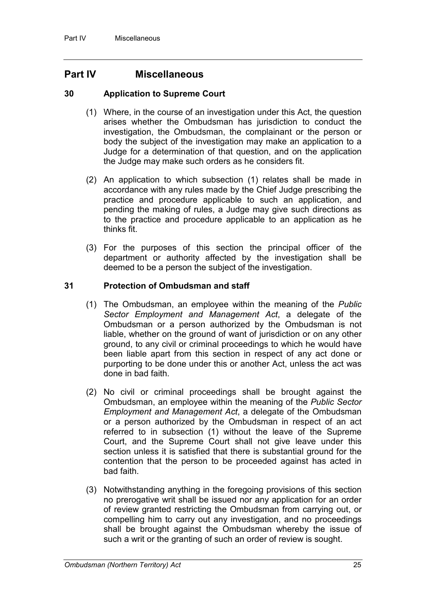### **Part IV Miscellaneous**

#### **30 Application to Supreme Court**

- (1) Where, in the course of an investigation under this Act, the question arises whether the Ombudsman has jurisdiction to conduct the investigation, the Ombudsman, the complainant or the person or body the subject of the investigation may make an application to a Judge for a determination of that question, and on the application the Judge may make such orders as he considers fit.
- (2) An application to which subsection (1) relates shall be made in accordance with any rules made by the Chief Judge prescribing the practice and procedure applicable to such an application, and pending the making of rules, a Judge may give such directions as to the practice and procedure applicable to an application as he thinks fit.
- (3) For the purposes of this section the principal officer of the department or authority affected by the investigation shall be deemed to be a person the subject of the investigation.

### **31 Protection of Ombudsman and staff**

- (1) The Ombudsman, an employee within the meaning of the *Public Sector Employment and Management Act*, a delegate of the Ombudsman or a person authorized by the Ombudsman is not liable, whether on the ground of want of jurisdiction or on any other ground, to any civil or criminal proceedings to which he would have been liable apart from this section in respect of any act done or purporting to be done under this or another Act, unless the act was done in bad faith.
- (2) No civil or criminal proceedings shall be brought against the Ombudsman, an employee within the meaning of the *Public Sector Employment and Management Act*, a delegate of the Ombudsman or a person authorized by the Ombudsman in respect of an act referred to in subsection (1) without the leave of the Supreme Court, and the Supreme Court shall not give leave under this section unless it is satisfied that there is substantial ground for the contention that the person to be proceeded against has acted in bad faith.
- (3) Notwithstanding anything in the foregoing provisions of this section no prerogative writ shall be issued nor any application for an order of review granted restricting the Ombudsman from carrying out, or compelling him to carry out any investigation, and no proceedings shall be brought against the Ombudsman whereby the issue of such a writ or the granting of such an order of review is sought.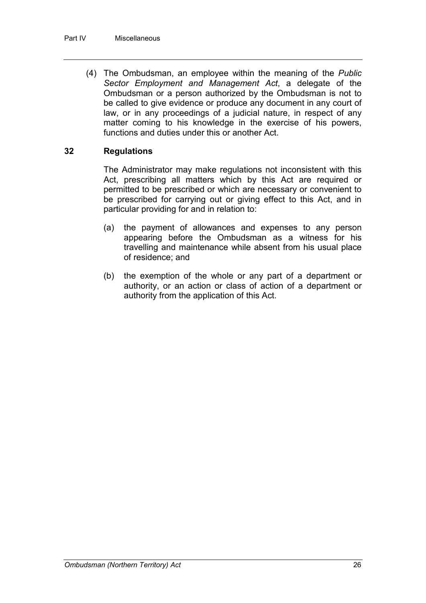(4) The Ombudsman, an employee within the meaning of the *Public Sector Employment and Management Act*, a delegate of the Ombudsman or a person authorized by the Ombudsman is not to be called to give evidence or produce any document in any court of law, or in any proceedings of a judicial nature, in respect of any matter coming to his knowledge in the exercise of his powers, functions and duties under this or another Act.

#### **32 Regulations**

The Administrator may make regulations not inconsistent with this Act, prescribing all matters which by this Act are required or permitted to be prescribed or which are necessary or convenient to be prescribed for carrying out or giving effect to this Act, and in particular providing for and in relation to:

- (a) the payment of allowances and expenses to any person appearing before the Ombudsman as a witness for his travelling and maintenance while absent from his usual place of residence; and
- (b) the exemption of the whole or any part of a department or authority, or an action or class of action of a department or authority from the application of this Act.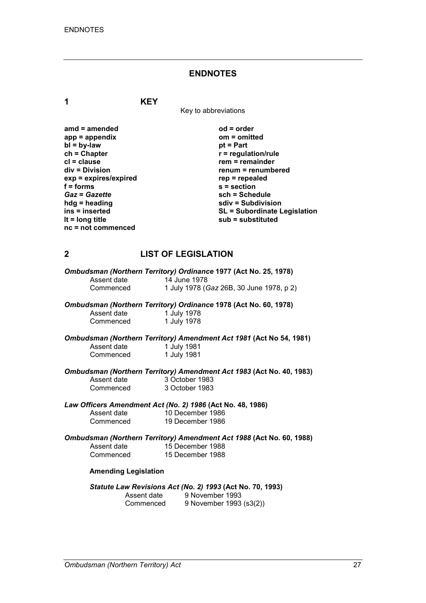#### **ENDNOTES**

**1 KEY**

Key to abbreviations

| $od = order$                        | amd $=$ amended       |
|-------------------------------------|-----------------------|
| $om = omitted$                      | $app = appendix$      |
| $pt = Part$                         | $bl = by-law$         |
| $r =$ regulation/rule               | $ch = Chapter$        |
| $rem = remainder$                   | $cl = clause$         |
| renum = renumbered                  | $div = Division$      |
| $rep = repeated$                    | exp = expires/expired |
| $s =$ section                       | $f = form$            |
| sch = Schedule                      | <b>Gaz = Gazette</b>  |
| sdiv = Subdivision                  | $h dg =$ heading      |
| <b>SL = Subordinate Legislation</b> | ins = inserted        |
| sub = substituted                   | It = $long$ title     |
|                                     | nc = not commenced    |
|                                     |                       |

#### **2 LIST OF LEGISLATION**

|             | Ombudsman (Northern Territory) Ordinance 1977 (Act No. 25, 1978) |
|-------------|------------------------------------------------------------------|
| Assent date | 14 June 1978                                                     |
| Commenced   | 1 July 1978 (Gaz 26B, 30 June 1978, p 2)                         |

*Ombudsman (Northern Territory) Ordinance* **1978 (Act No. 60, 1978)**

Assent date 1 July 1978<br>Commenced 1 July 1978 Commenced

*Ombudsman (Northern Territory) Amendment Act 1981* **(Act No 54, 1981)** Assent date 1 July 1981<br>Commenced 1 July 1981 1 July 1981

*Ombudsman (Northern Territory) Amendment Act 1983* **(Act No. 40, 1983)**

Assent date Commenced

| 3 October 1983 |  |
|----------------|--|
| 3 October 1983 |  |

# *Law Officers Amendment Act (No. 2) 1986* **(Act No. 48, 1986)**

Assent date 10 December 1986<br>Commenced 19 December 1986 19 December 1986

*Ombudsman (Northern Territory) Amendment Act 1988* **(Act No. 60, 1988)**  Assent date 15 December 1988<br>Commenced 15 December 1988 15 December 1988

#### **Amending Legislation**

*Statute Law Revisions Act (No. 2) 1993* **(Act No. 70, 1993)** 

| Assent date | 9 November 1993         |
|-------------|-------------------------|
| Commenced   | 9 November 1993 (s3(2)) |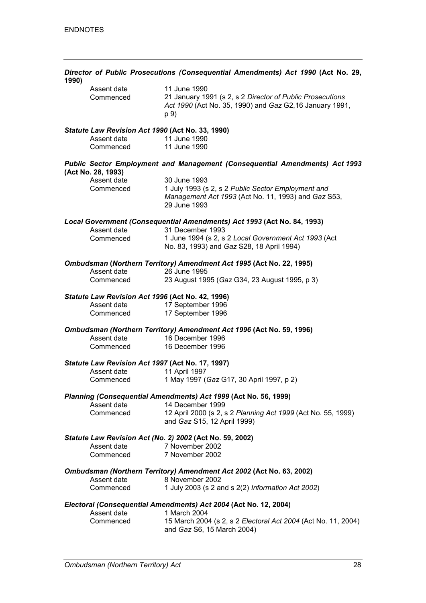| 1990)                                            | Director of Public Prosecutions (Consequential Amendments) Act 1990 (Act No. 29,                                                             |
|--------------------------------------------------|----------------------------------------------------------------------------------------------------------------------------------------------|
| Assent date<br>Commenced                         | 11 June 1990<br>21 January 1991 (s 2, s 2 Director of Public Prosecutions<br>Act 1990 (Act No. 35, 1990) and Gaz G2,16 January 1991,<br>p 9) |
| Statute Law Revision Act 1990 (Act No. 33, 1990) |                                                                                                                                              |
| Assent date<br>Commenced                         | 11 June 1990<br>11 June 1990                                                                                                                 |
| (Act No. 28, 1993)                               | <b>Public Sector Employment and Management (Consequential Amendments) Act 1993</b>                                                           |
| Assent date<br>Commenced                         | 30 June 1993<br>1 July 1993 (s 2, s 2 Public Sector Employment and<br>Management Act 1993 (Act No. 11, 1993) and Gaz S53,<br>29 June 1993    |
|                                                  | Local Government (Consequential Amendments) Act 1993 (Act No. 84, 1993)                                                                      |
| Assent date<br>Commenced                         | 31 December 1993<br>1 June 1994 (s 2, s 2 Local Government Act 1993 (Act<br>No. 83, 1993) and Gaz S28, 18 April 1994)                        |
| Assent date                                      | Ombudsman (Northern Territory) Amendment Act 1995 (Act No. 22, 1995)<br>26 June 1995                                                         |
| Commenced                                        | 23 August 1995 (Gaz G34, 23 August 1995, p 3)                                                                                                |
| Statute Law Revision Act 1996 (Act No. 42, 1996) |                                                                                                                                              |
| Assent date<br>Commenced                         | 17 September 1996<br>17 September 1996                                                                                                       |
|                                                  | Ombudsman (Northern Territory) Amendment Act 1996 (Act No. 59, 1996)                                                                         |
| Assent date<br>Commenced                         | 16 December 1996<br>16 December 1996                                                                                                         |
| Statute Law Revision Act 1997 (Act No. 17, 1997) |                                                                                                                                              |
| Assent date<br>Commenced                         | 11 April 1997<br>1 May 1997 (Gaz G17, 30 April 1997, p 2)                                                                                    |
|                                                  | Planning (Consequential Amendments) Act 1999 (Act No. 56, 1999)                                                                              |
| Assent date<br>Commenced                         | 14 December 1999<br>12 April 2000 (s 2, s 2 Planning Act 1999 (Act No. 55, 1999)<br>and Gaz S15, 12 April 1999)                              |
|                                                  | Statute Law Revision Act (No. 2) 2002 (Act No. 59, 2002)                                                                                     |
| Assent date<br>Commenced                         | 7 November 2002<br>7 November 2002                                                                                                           |
|                                                  | Ombudsman (Northern Territory) Amendment Act 2002 (Act No. 63, 2002)                                                                         |
| Assent date<br>Commenced                         | 8 November 2002<br>1 July 2003 (s 2 and s 2(2) Information Act 2002)                                                                         |
|                                                  | Electoral (Consequential Amendments) Act 2004 (Act No. 12, 2004)                                                                             |
| Assent date<br>Commenced                         | 1 March 2004<br>15 March 2004 (s 2, s 2 Electoral Act 2004 (Act No. 11, 2004)<br>and Gaz S6, 15 March 2004)                                  |